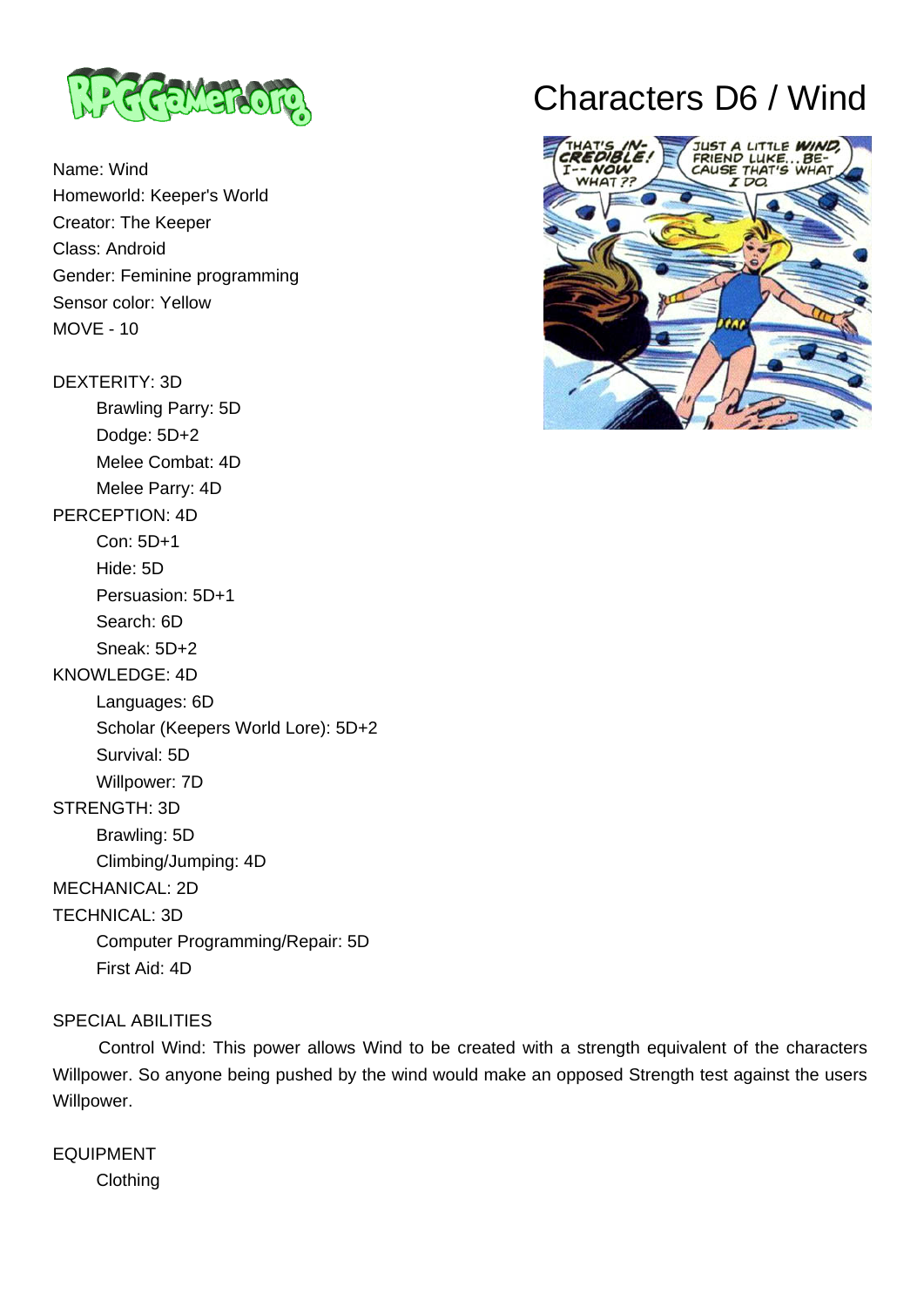

Name: Wind Homeworld: Keeper's World Creator: The Keeper Class: Android Gender: Feminine programming Sensor color: Yellow MOVE - 10

### DEXTERITY: 3D

Brawling Parry: 5D

 Dodge: 5D+2 Melee Combat: 4D

Melee Parry: 4D

## PERCEPTION: 4D

Con: 5D+1

Hide: 5D

Persuasion: 5D+1

Search: 6D

 Sneak: 5D+2 KNOWLEDGE: 4D

 Languages: 6D Scholar (Keepers World Lore): 5D+2 Survival: 5D Willpower: 7D STRENGTH: 3D Brawling: 5D

 Climbing/Jumping: 4D MECHANICAL: 2D

TECHNICAL: 3D

 Computer Programming/Repair: 5D First Aid: 4D

## SPECIAL ABILITIES

 Control Wind: This power allows Wind to be created with a strength equivalent of the characters Willpower. So anyone being pushed by the wind would make an opposed Strength test against the users Willpower.

EQUIPMENT Clothing

# Characters D6 / Wind